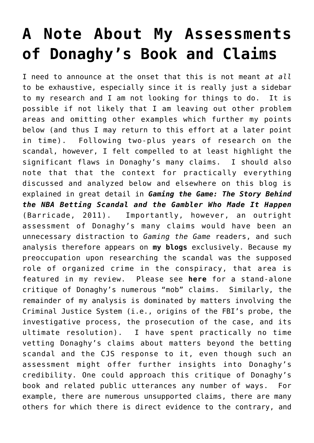## **[A Note About My Assessments](https://seanpatrickgriffin.net/note-about-my-assessments-of-donaghys/) [of Donaghy's Book and Claims](https://seanpatrickgriffin.net/note-about-my-assessments-of-donaghys/)**

I need to announce at the onset that this is not meant *at all* to be exhaustive, especially since it is really just a sidebar to my research and I am not looking for things to do. It is possible if not likely that I am leaving out other problem areas and omitting other examples which further my points below (and thus I may return to this effort at a later point in time). Following two-plus years of research on the scandal, however, I felt compelled to at least highlight the significant flaws in Donaghy's many claims. I should also note that that the context for practically everything discussed and analyzed below and elsewhere on this blog is explained in great detail in *[Gaming the Game: The Story Behind](https://seanpatrickgriffin.net/gaming-game-story-behind-nba-betting/) [the NBA Betting Scandal and the Gambler Who Made It Happen](https://seanpatrickgriffin.net/gaming-game-story-behind-nba-betting/)* (Barricade, 2011). Importantly, however, an outright assessment of Donaghy's many claims would have been an unnecessary distraction to *Gaming the Game* readers, and such analysis therefore appears on **[my blogs](http://www.blogger.com/profile/09634829613521863612)** exclusively. Because my preoccupation upon researching the scandal was the supposed role of organized crime in the conspiracy, that area is featured in my review. Please see **[here](http://nbascandal.blogspot.com/2011/02/on-mob-and-nba-betting-scandal.html)** for a stand-alone critique of Donaghy's numerous "mob" claims. Similarly, the remainder of my analysis is dominated by matters involving the Criminal Justice System (i.e., origins of the FBI's probe, the investigative process, the prosecution of the case, and its ultimate resolution). I have spent practically no time vetting Donaghy's claims about matters beyond the betting scandal and the CJS response to it, even though such an assessment might offer further insights into Donaghy's credibility. One could approach this critique of Donaghy's book and related public utterances any number of ways. For example, there are numerous unsupported claims, there are many others for which there is direct evidence to the contrary, and